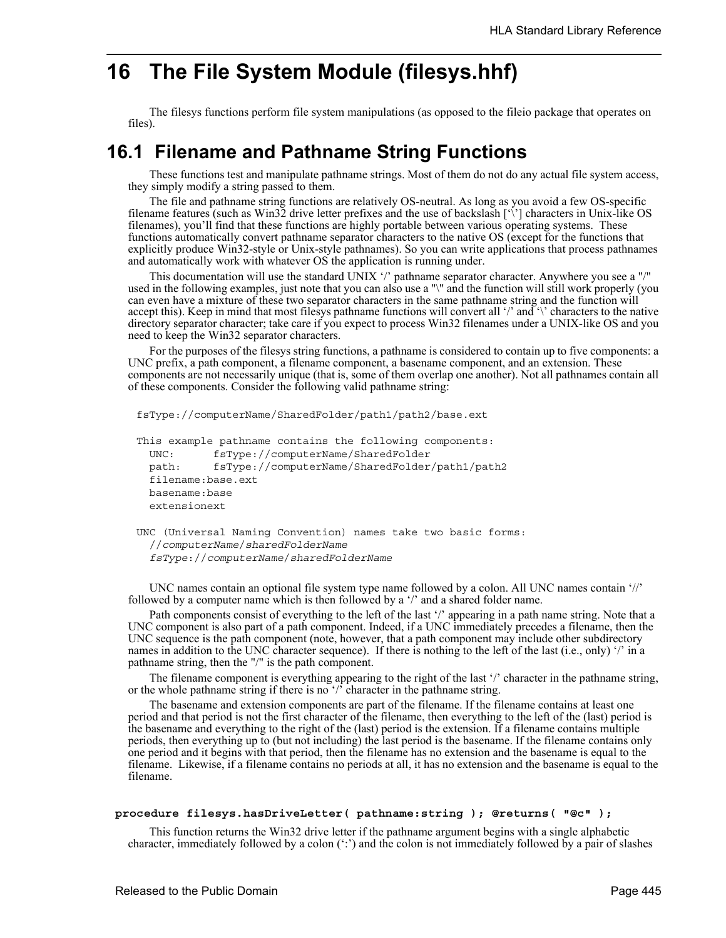# **16 The File System Module (filesys.hhf)**

The filesys functions perform file system manipulations (as opposed to the fileio package that operates on files).

# **16.1 Filename and Pathname String Functions**

These functions test and manipulate pathname strings. Most of them do not do any actual file system access, they simply modify a string passed to them.

The file and pathname string functions are relatively OS-neutral. As long as you avoid a few OS-specific filename features (such as Win32 drive letter prefixes and the use of backslash ['\'] characters in Unix-like OS filenames), you'll find that these functions are highly portable between various operating systems. These functions automatically convert pathname separator characters to the native OS (except for the functions that explicitly produce Win32-style or Unix-style pathnames). So you can write applications that process pathnames and automatically work with whatever OS the application is running under.

This documentation will use the standard UNIX '/' pathname separator character. Anywhere you see a "/" used in the following examples, just note that you can also use a "\" and the function will still work properly (you can even have a mixture of these two separator characters in the same pathname string and the function will accept this). Keep in mind that most filesys pathname functions will convert all '/' and '\' characters to the native directory separator character; take care if you expect to process Win32 filenames under a UNIX-like OS and you need to keep the Win32 separator characters.

For the purposes of the filesys string functions, a pathname is considered to contain up to five components: a UNC prefix, a path component, a filename component, a basename component, and an extension. These components are not necessarily unique (that is, some of them overlap one another). Not all pathnames contain all of these components. Consider the following valid pathname string:

```
fsType://computerName/SharedFolder/path1/path2/base.ext
```

```
This example pathname contains the following components:
 UNC: fsType://computerName/SharedFolder
 path: fsType://computerName/SharedFolder/path1/path2
  filename:base.ext
 basename:base
  extensionext
```

```
UNC (Universal Naming Convention) names take two basic forms:
  //computerName/sharedFolderName
  fsType://computerName/sharedFolderName
```
UNC names contain an optional file system type name followed by a colon. All UNC names contain '//' followed by a computer name which is then followed by a '/' and a shared folder name.

Path components consist of everything to the left of the last '/' appearing in a path name string. Note that a UNC component is also part of a path component. Indeed, if a UNC immediately precedes a filename, then the UNC sequence is the path component (note, however, that a path component may include other subdirectory names in addition to the UNC character sequence). If there is nothing to the left of the last (i.e., only) '/' in a pathname string, then the "/" is the path component.

The filename component is everything appearing to the right of the last '/' character in the pathname string, or the whole pathname string if there is no '/' character in the pathname string.

The basename and extension components are part of the filename. If the filename contains at least one period and that period is not the first character of the filename, then everything to the left of the (last) period is the basename and everything to the right of the (last) period is the extension. If a filename contains multiple periods, then everything up to (but not including) the last period is the basename. If the filename contains only one period and it begins with that period, then the filename has no extension and the basename is equal to the filename. Likewise, if a filename contains no periods at all, it has no extension and the basename is equal to the filename.

#### **procedure filesys.hasDriveLetter( pathname:string ); @returns( "@c" );**

This function returns the Win32 drive letter if the pathname argument begins with a single alphabetic character, immediately followed by a colon  $(\cdot;\cdot)$  and the colon is not immediately followed by a pair of slashes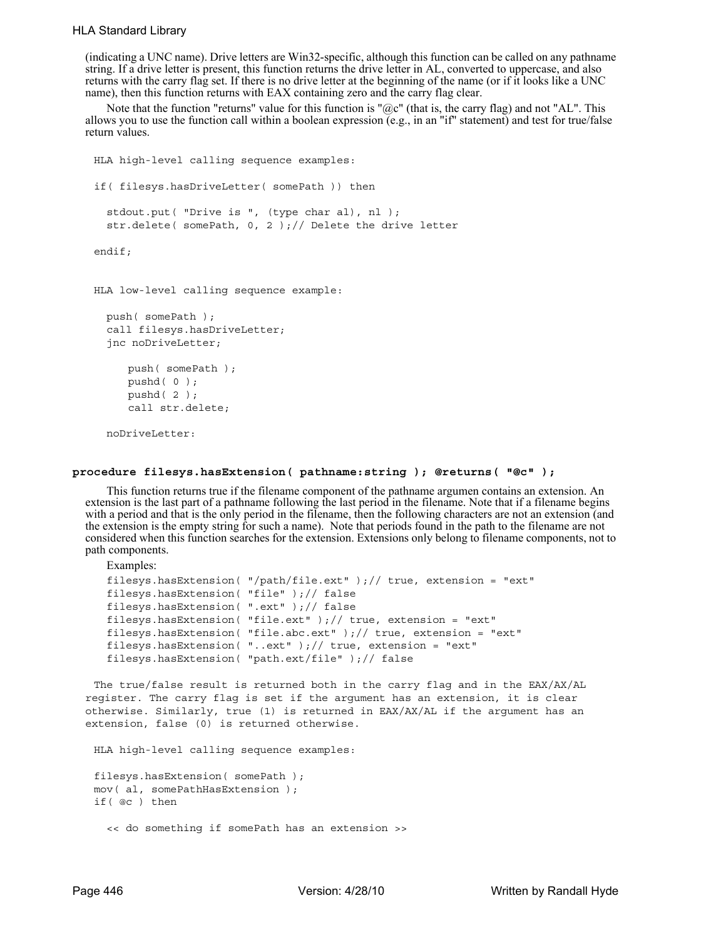### HLA Standard Library

(indicating a UNC name). Drive letters are Win32-specific, although this function can be called on any pathname string. If a drive letter is present, this function returns the drive letter in AL, converted to uppercase, and also returns with the carry flag set. If there is no drive letter at the beginning of the name (or if it looks like a UNC name), then this function returns with EAX containing zero and the carry flag clear.

Note that the function "returns" value for this function is " $@c"$  (that is, the carry flag) and not "AL". This allows you to use the function call within a boolean expression (e.g., in an "if" statement) and test for true/false return values.

```
HLA high-level calling sequence examples:
if( filesys.hasDriveLetter( somePath )) then
  stdout.put( "Drive is ", (type char al), nl );
  str.delete( somePath, 0, 2 );// Delete the drive letter
endif;
HLA low-level calling sequence example:
  push( somePath );
  call filesys.hasDriveLetter;
  jnc noDriveLetter;
     push( somePath );
     pushd( 0 );
     pushd( 2 );
```
noDriveLetter:

call str.delete;

## **procedure filesys.hasExtension( pathname:string ); @returns( "@c" );**

This function returns true if the filename component of the pathname argumen contains an extension. An extension is the last part of a pathname following the last period in the filename. Note that if a filename begins with a period and that is the only period in the filename, then the following characters are not an extension (and the extension is the empty string for such a name). Note that periods found in the path to the filename are not considered when this function searches for the extension. Extensions only belong to filename components, not to path components.

```
Examples:
filesys.hasExtension( "/path/file.ext" );// true, extension = "ext"
filesys.hasExtension( "file" );// false
filesys.hasExtension( ".ext" );// false
filesys.hasExtension( "file.ext" );// true, extension = "ext"
filesys.hasExtension( "file.abc.ext" );// true, extension = "ext"
filesys.hasExtension( "..ext" );// true, extension = "ext"
filesys.hasExtension( "path.ext/file" );// false
```
The true/false result is returned both in the carry flag and in the EAX/AX/AL register. The carry flag is set if the argument has an extension, it is clear otherwise. Similarly, true (1) is returned in EAX/AX/AL if the argument has an extension, false (0) is returned otherwise.

HLA high-level calling sequence examples:

```
filesys.hasExtension( somePath );
mov( al, somePathHasExtension );
if( @c ) then
  << do something if somePath has an extension >>
```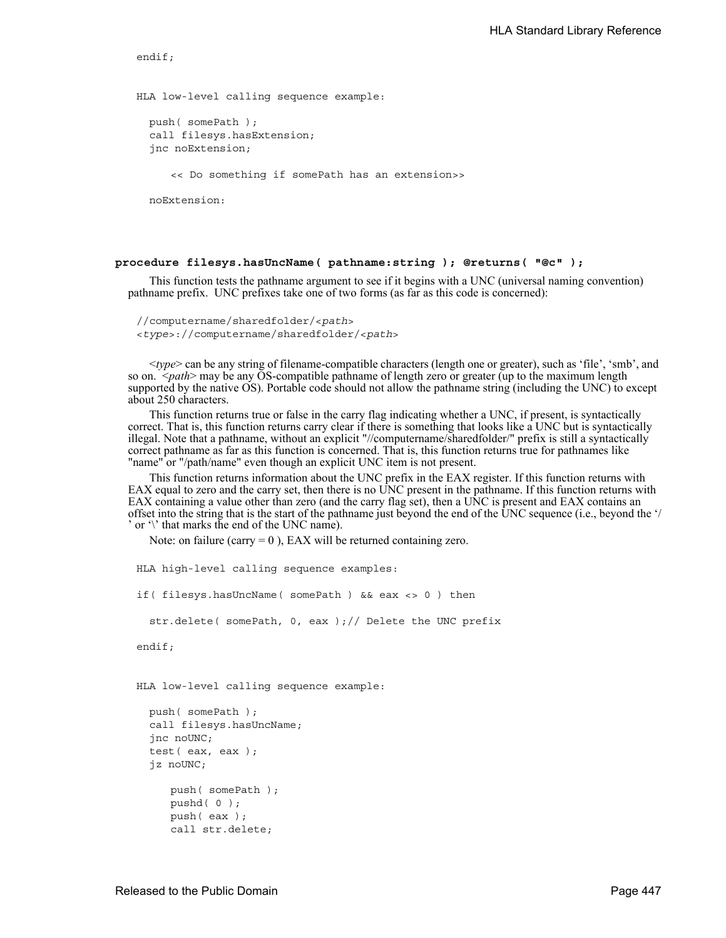endif;

HLA low-level calling sequence example:

push( somePath ); call filesys.hasExtension; jnc noExtension;

<< Do something if somePath has an extension>>

noExtension:

#### **procedure filesys.hasUncName( pathname:string ); @returns( "@c" );**

This function tests the pathname argument to see if it begins with a UNC (universal naming convention) pathname prefix. UNC prefixes take one of two forms (as far as this code is concerned):

//computername/sharedfolder/<*path*> <*type*>://computername/sharedfolder/<*path*>

<*type*> can be any string of filename-compatible characters (length one or greater), such as 'file', 'smb', and so on. <*path*> may be any OS-compatible pathname of length zero or greater (up to the maximum length supported by the native OS). Portable code should not allow the pathname string (including the UNC) to except about 250 characters.

This function returns true or false in the carry flag indicating whether a UNC, if present, is syntactically correct. That is, this function returns carry clear if there is something that looks like a UNC but is syntactically illegal. Note that a pathname, without an explicit "//computername/sharedfolder/" prefix is still a syntactically correct pathname as far as this function is concerned. That is, this function returns true for pathnames like "name" or "/path/name" even though an explicit UNC item is not present.

This function returns information about the UNC prefix in the EAX register. If this function returns with EAX equal to zero and the carry set, then there is no UNC present in the pathname. If this function returns with EAX containing a value other than zero (and the carry flag set), then a UNC is present and EAX contains an offset into the string that is the start of the pathname just beyond the end of the UNC sequence (i.e., beyond the '/ ' or '\' that marks the end of the UNC name).

Note: on failure (carry  $= 0$ ), EAX will be returned containing zero.

```
HLA high-level calling sequence examples:
if( filesys.hasUncName( somePath ) && eax <> 0 ) then
  str.delete( somePath, 0, eax );// Delete the UNC prefix
endif;
HLA low-level calling sequence example:
  push( somePath );
  call filesys.hasUncName;
  jnc noUNC;
  test( eax, eax );
  jz noUNC;
     push( somePath );
     pushd( 0 );
     push( eax );
     call str.delete;
```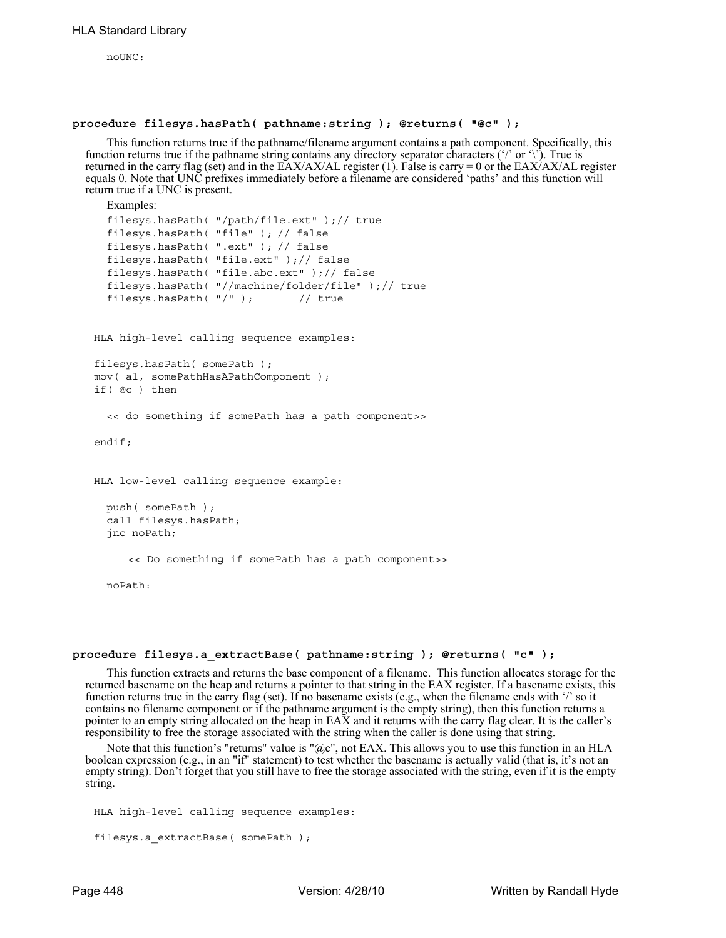noUNC:

#### **procedure filesys.hasPath( pathname:string ); @returns( "@c" );**

This function returns true if the pathname/filename argument contains a path component. Specifically, this function returns true if the pathname string contains any directory separator characters ('/' or '\'). True is returned in the carry flag (set) and in the EAX/AX/AL register (1). False is carry = 0 or the EAX/AX/AL register equals 0. Note that UNC prefixes immediately before a filename are considered 'paths' and this function will return true if a UNC is present.

```
Examples:
filesys.hasPath( "/path/file.ext" );// true
filesys.hasPath( "file" ); // false
filesys.hasPath( ".ext" ); // false
filesys.hasPath( "file.ext" );// false
filesys.hasPath( "file.abc.ext" );// false
filesys.hasPath( "//machine/folder/file" );// true
filesys.hasPath( "/" ); // true
```
HLA high-level calling sequence examples:

```
filesys.hasPath( somePath );
mov( al, somePathHasAPathComponent );
if( @c ) then
```
<< do something if somePath has a path component>>

endif;

```
HLA low-level calling sequence example:
```

```
push( somePath );
call filesys.hasPath;
jnc noPath;
```
<< Do something if somePath has a path component>>

noPath:

#### **procedure filesys.a\_extractBase( pathname:string ); @returns( "c" );**

This function extracts and returns the base component of a filename. This function allocates storage for the returned basename on the heap and returns a pointer to that string in the EAX register. If a basename exists, this function returns true in the carry flag (set). If no basename exists (e.g., when the filename ends with '/' so it contains no filename component or if the pathname argument is the empty string), then this function returns a pointer to an empty string allocated on the heap in EAX and it returns with the carry flag clear. It is the caller's responsibility to free the storage associated with the string when the caller is done using that string.

Note that this function's "returns" value is " $@c$ ", not EAX. This allows you to use this function in an HLA boolean expression (e.g., in an "if" statement) to test whether the basename is actually valid (that is, it's not an empty string). Don't forget that you still have to free the storage associated with the string, even if it is the empty string.

```
HLA high-level calling sequence examples:
filesys.a_extractBase( somePath );
```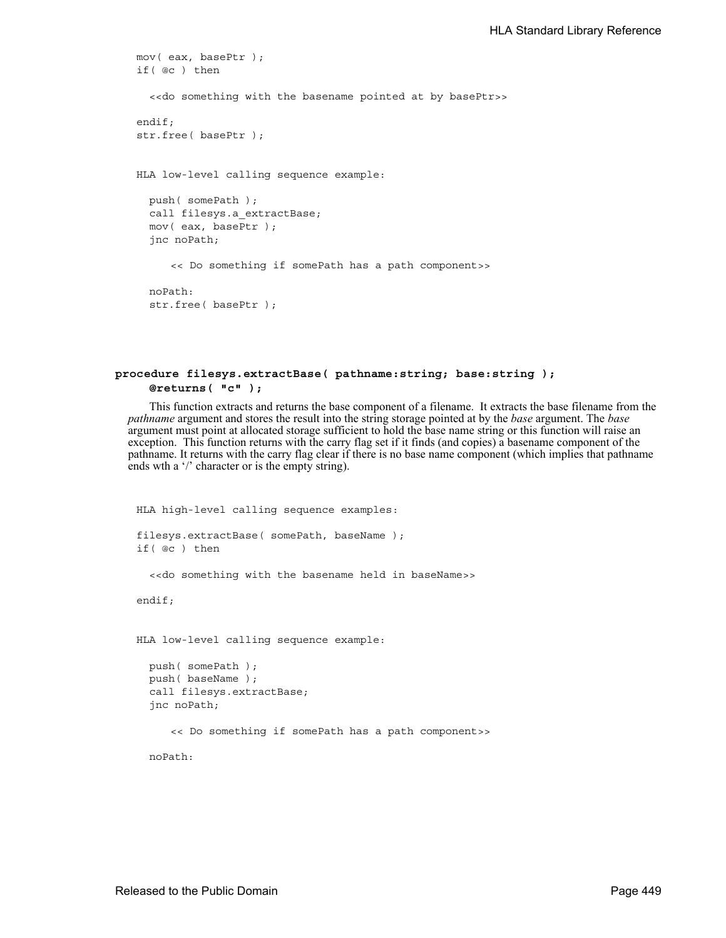```
mov( eax, basePtr );
if( @c ) then
  <<do something with the basename pointed at by basePtr>>
endif;
str.free( basePtr );
HLA low-level calling sequence example:
  push( somePath );
  call filesys.a_extractBase;
  mov( eax, basePtr );
  jnc noPath;
     << Do something if somePath has a path component>>
  noPath:
  str.free( basePtr );
```
#### **procedure filesys.extractBase( pathname:string; base:string ); @returns( "c" );**

This function extracts and returns the base component of a filename. It extracts the base filename from the *pathname* argument and stores the result into the string storage pointed at by the *base* argument. The *base* argument must point at allocated storage sufficient to hold the base name string or this function will raise an exception. This function returns with the carry flag set if it finds (and copies) a basename component of the pathname. It returns with the carry flag clear if there is no base name component (which implies that pathname ends wth a '/' character or is the empty string).

```
HLA high-level calling sequence examples:
filesys.extractBase( somePath, baseName );
if( @c ) then
  <<do something with the basename held in baseName>>
endif;
HLA low-level calling sequence example:
  push( somePath );
  push( baseName );
  call filesys.extractBase;
  jnc noPath;
     << Do something if somePath has a path component>>
  noPath:
```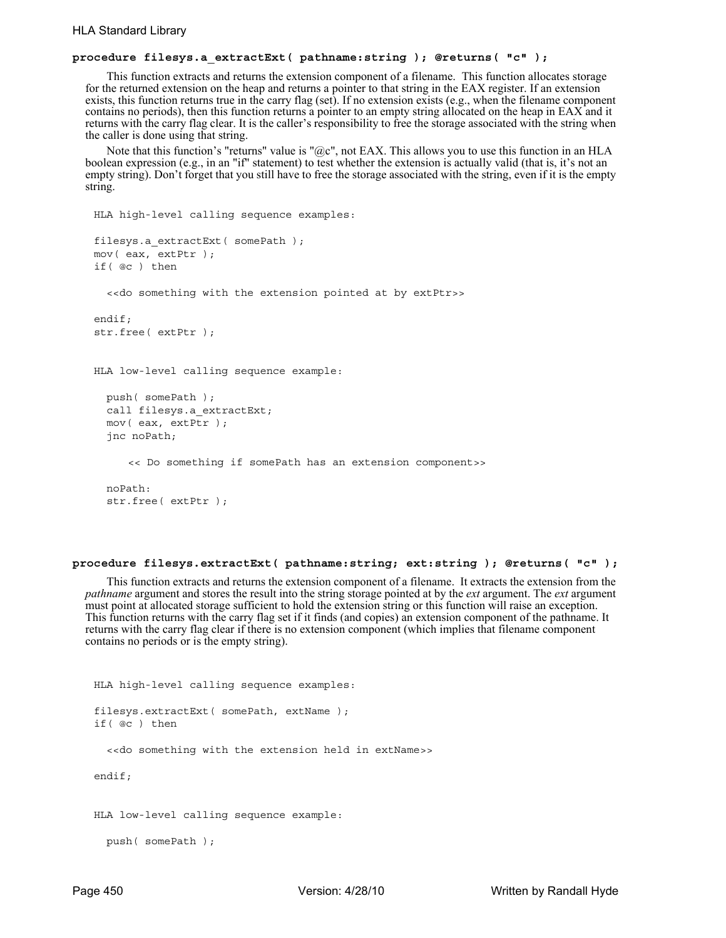## **procedure filesys.a\_extractExt( pathname:string ); @returns( "c" );**

This function extracts and returns the extension component of a filename. This function allocates storage for the returned extension on the heap and returns a pointer to that string in the EAX register. If an extension exists, this function returns true in the carry flag (set). If no extension exists (e.g., when the filename component contains no periods), then this function returns a pointer to an empty string allocated on the heap in EAX and it returns with the carry flag clear. It is the caller's responsibility to free the storage associated with the string when the caller is done using that string.

Note that this function's "returns" value is " $@c$ ", not EAX. This allows you to use this function in an HLA boolean expression (e.g., in an "if" statement) to test whether the extension is actually valid (that is, it's not an empty string). Don't forget that you still have to free the storage associated with the string, even if it is the empty string.

```
HLA high-level calling sequence examples:
filesys.a_extractExt( somePath );
mov( eax, extPtr );
if( @c ) then
  <<do something with the extension pointed at by extPtr>>
endif;
str.free( extPtr );
HLA low-level calling sequence example:
  push( somePath );
  call filesys.a extractExt;
  mov( eax, extPtr );
  jnc noPath;
     << Do something if somePath has an extension component>>
  noPath:
  str.free( extPtr );
```
## **procedure filesys.extractExt( pathname:string; ext:string ); @returns( "c" );**

This function extracts and returns the extension component of a filename. It extracts the extension from the *pathname* argument and stores the result into the string storage pointed at by the *ext* argument. The *ext* argument must point at allocated storage sufficient to hold the extension string or this function will raise an exception. This function returns with the carry flag set if it finds (and copies) an extension component of the pathname. It returns with the carry flag clear if there is no extension component (which implies that filename component contains no periods or is the empty string).

```
HLA high-level calling sequence examples:
filesys.extractExt( somePath, extName );
if( @c ) then
  <<do something with the extension held in extName>>
endif;
HLA low-level calling sequence example:
 push( somePath );
```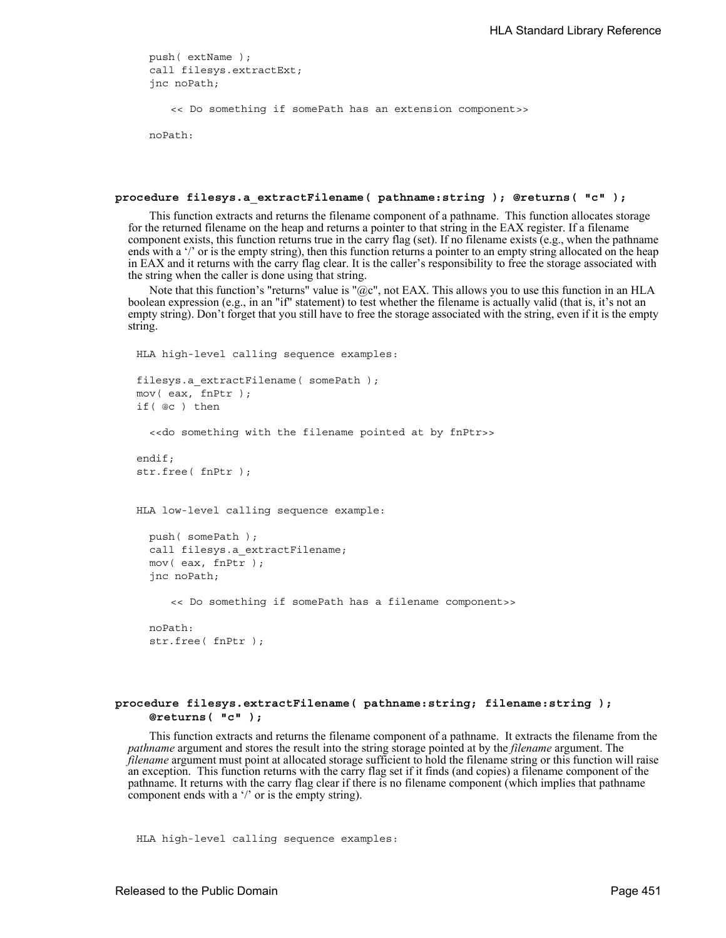```
push( extName );
call filesys.extractExt;
jnc noPath;
```
<< Do something if somePath has an extension component>>

noPath:

#### **procedure filesys.a\_extractFilename( pathname:string ); @returns( "c" );**

This function extracts and returns the filename component of a pathname. This function allocates storage for the returned filename on the heap and returns a pointer to that string in the EAX register. If a filename component exists, this function returns true in the carry flag (set). If no filename exists (e.g., when the pathname ends with a '/' or is the empty string), then this function returns a pointer to an empty string allocated on the heap in EAX and it returns with the carry flag clear. It is the caller's responsibility to free the storage associated with the string when the caller is done using that string.

Note that this function's "returns" value is " $@c$ ", not EAX. This allows you to use this function in an HLA boolean expression (e.g., in an "if" statement) to test whether the filename is actually valid (that is, it's not an empty string). Don't forget that you still have to free the storage associated with the string, even if it is the empty string.

```
HLA high-level calling sequence examples:
filesys.a_extractFilename( somePath );
mov( eax, fnPtr );
if( @c ) then
  <<do something with the filename pointed at by fnPtr>>
endif;
str.free( fnPtr );
HLA low-level calling sequence example:
  push( somePath );
  call filesys.a extractFilename;
  mov( eax, fnPtr );
  jnc noPath;
     << Do something if somePath has a filename component>>
  noPath:
  str.free( fnPtr );
```
## **procedure filesys.extractFilename( pathname:string; filename:string ); @returns( "c" );**

This function extracts and returns the filename component of a pathname. It extracts the filename from the *pathname* argument and stores the result into the string storage pointed at by the *filename* argument. The *filename* argument must point at allocated storage sufficient to hold the filename string or this function will raise an exception. This function returns with the carry flag set if it finds (and copies) a filename component of the pathname. It returns with the carry flag clear if there is no filename component (which implies that pathname component ends with a '/' or is the empty string).

HLA high-level calling sequence examples: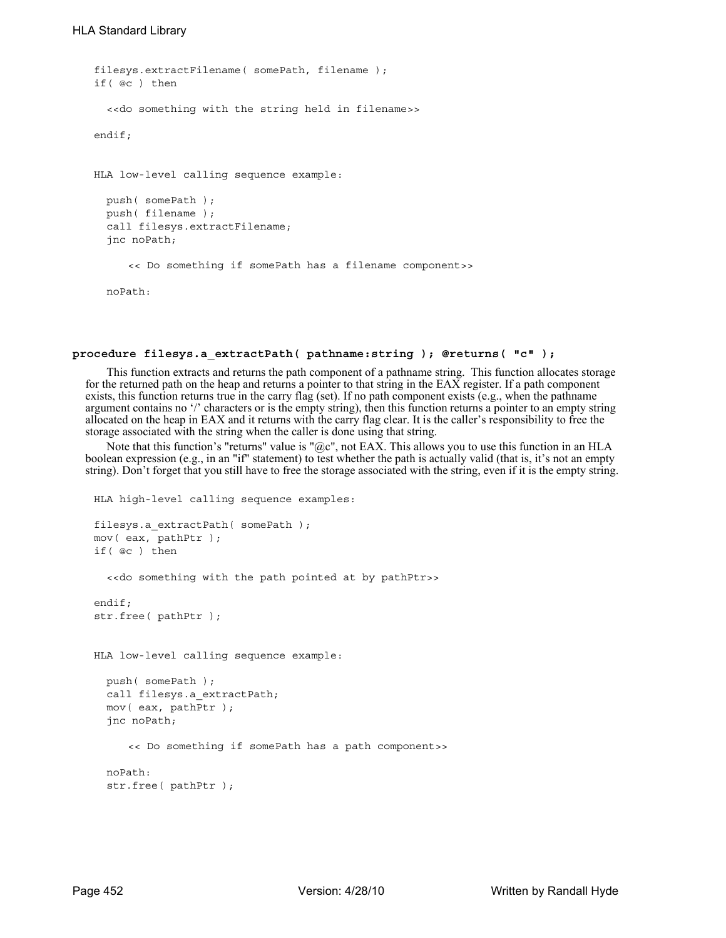```
filesys.extractFilename( somePath, filename );
if( @c ) then
  <<do something with the string held in filename>>
endif;
HLA low-level calling sequence example:
  push( somePath );
 push( filename );
  call filesys.extractFilename;
  jnc noPath;
     << Do something if somePath has a filename component>>
 noPath:
```
#### **procedure filesys.a\_extractPath( pathname:string ); @returns( "c" );**

This function extracts and returns the path component of a pathname string. This function allocates storage for the returned path on the heap and returns a pointer to that string in the EAX register. If a path component exists, this function returns true in the carry flag (set). If no path component exists (e.g., when the pathname argument contains no '/' characters or is the empty string), then this function returns a pointer to an empty string allocated on the heap in EAX and it returns with the carry flag clear. It is the caller's responsibility to free the storage associated with the string when the caller is done using that string.

Note that this function's "returns" value is " $@c$ ", not EAX. This allows you to use this function in an HLA boolean expression (e.g., in an "if" statement) to test whether the path is actually valid (that is, it's not an empty string). Don't forget that you still have to free the storage associated with the string, even if it is the empty string.

```
HLA high-level calling sequence examples:
filesys.a_extractPath( somePath );
mov( eax, pathPtr );
if( @c ) then
  <<do something with the path pointed at by pathPtr>>
endif;
str.free( pathPtr );
HLA low-level calling sequence example:
  push( somePath );
  call filesys.a_extractPath;
  mov( eax, pathPtr );
  jnc noPath;
     << Do something if somePath has a path component>>
  noPath:
  str.free( pathPtr );
```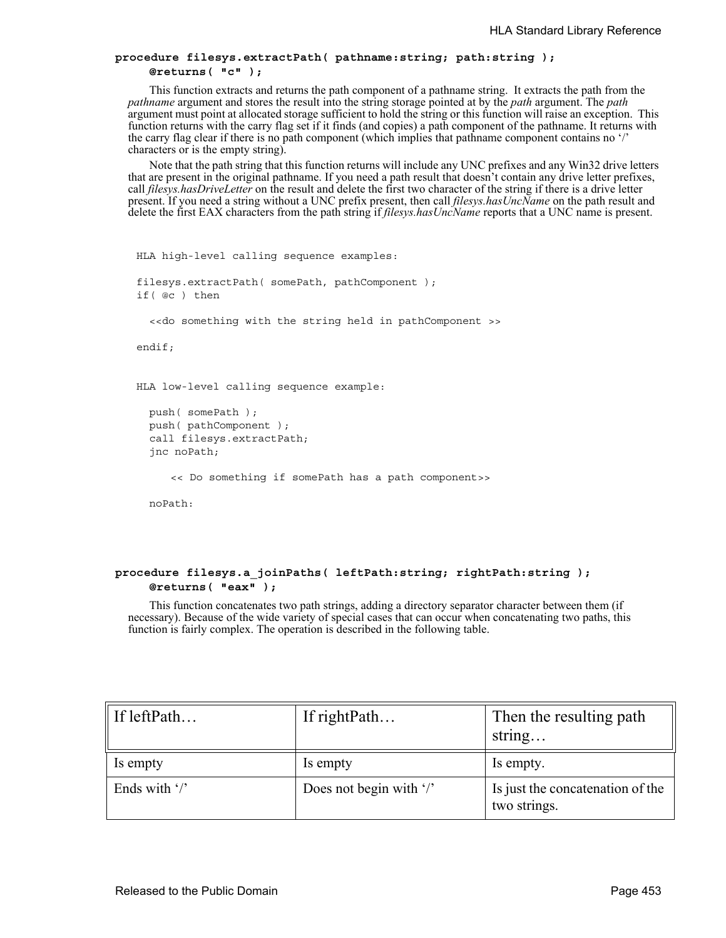## **procedure filesys.extractPath( pathname:string; path:string ); @returns( "c" );**

This function extracts and returns the path component of a pathname string. It extracts the path from the *pathname* argument and stores the result into the string storage pointed at by the *path* argument. The *path* argument must point at allocated storage sufficient to hold the string or this function will raise an exception. This function returns with the carry flag set if it finds (and copies) a path component of the pathname. It returns with the carry flag clear if there is no path component (which implies that pathname component contains no '/' characters or is the empty string).

Note that the path string that this function returns will include any UNC prefixes and any Win32 drive letters that are present in the original pathname. If you need a path result that doesn't contain any drive letter prefixes, call *filesys.hasDriveLetter* on the result and delete the first two character of the string if there is a drive letter present. If you need a string without a UNC prefix present, then call *filesys.hasUncName* on the path result and delete the first EAX characters from the path string if *filesys.hasUncName* reports that a UNC name is present.

```
HLA high-level calling sequence examples:
filesys.extractPath( somePath, pathComponent );
if( @c ) then
  <<do something with the string held in pathComponent >>
endif;
HLA low-level calling sequence example:
 push( somePath );
 push( pathComponent );
  call filesys.extractPath;
  jnc noPath;
     << Do something if somePath has a path component>>
```
noPath:

## **procedure filesys.a\_joinPaths( leftPath:string; rightPath:string ); @returns( "eax" );**

This function concatenates two path strings, adding a directory separator character between them (if necessary). Because of the wide variety of special cases that can occur when concatenating two paths, this function is fairly complex. The operation is described in the following table.

| If leftPath             | If rightPath            | Then the resulting path<br>string                |
|-------------------------|-------------------------|--------------------------------------------------|
| Is empty                | Is empty                | Is empty.                                        |
| Ends with $\frac{1}{2}$ | Does not begin with '/' | Is just the concatenation of the<br>two strings. |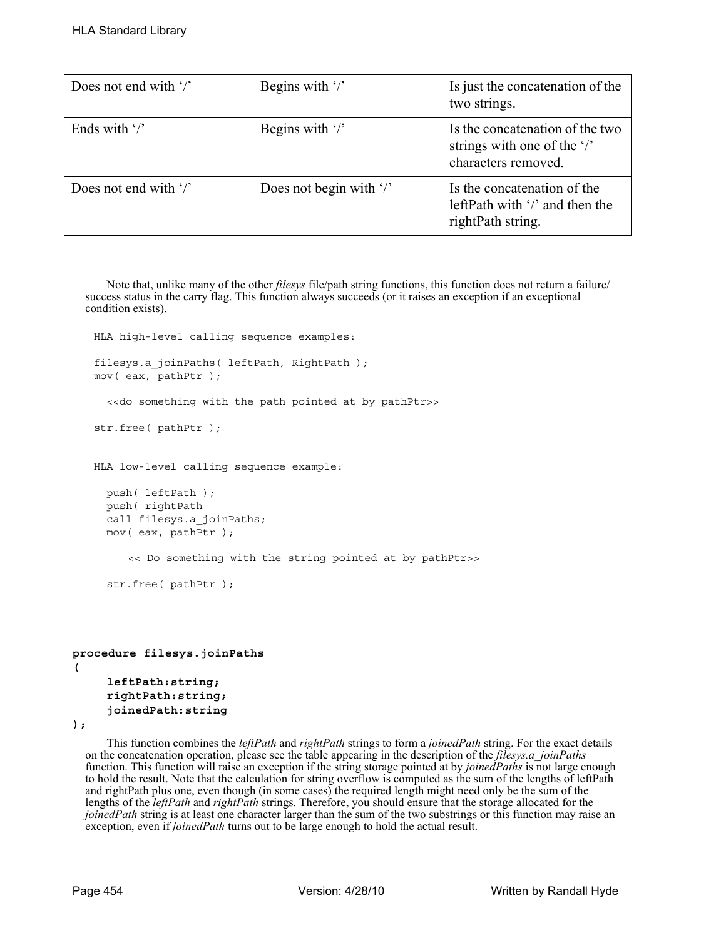| Does not end with $\frac{1}{2}$ | Begins with $\frac{1}{2}$         | Is just the concatenation of the<br>two strings.                                      |
|---------------------------------|-----------------------------------|---------------------------------------------------------------------------------------|
| Ends with $\frac{1}{2}$         | Begins with $\frac{1}{2}$         | Is the concatenation of the two<br>strings with one of the '/'<br>characters removed. |
| Does not end with $\frac{1}{2}$ | Does not begin with $\frac{1}{2}$ | Is the concatenation of the<br>leftPath with '/' and then the<br>rightPath string.    |

Note that, unlike many of the other *filesys* file/path string functions, this function does not return a failure/ success status in the carry flag. This function always succeeds (or it raises an exception if an exceptional condition exists).

HLA high-level calling sequence examples:

filesys.a joinPaths( leftPath, RightPath ); mov( eax, pathPtr );

<<do something with the path pointed at by pathPtr>>

str.free( pathPtr );

HLA low-level calling sequence example:

```
push( leftPath );
push( rightPath
call filesys.a_joinPaths;
mov( eax, pathPtr );
   << Do something with the string pointed at by pathPtr>>
str.free( pathPtr );
```

```
procedure filesys.joinPaths
( 
     leftPath:string; 
     rightPath:string; 
     joinedPath:string
```
**);**

This function combines the *leftPath* and *rightPath* strings to form a *joinedPath* string. For the exact details on the concatenation operation, please see the table appearing in the description of the *filesys.a\_joinPaths* function. This function will raise an exception if the string storage pointed at by *joinedPaths* is not large enough to hold the result. Note that the calculation for string overflow is computed as the sum of the lengths of leftPath and rightPath plus one, even though (in some cases) the required length might need only be the sum of the lengths of the *leftPath* and *rightPath* strings. Therefore, you should ensure that the storage allocated for the *joinedPath* string is at least one character larger than the sum of the two substrings or this function may raise an exception, even if *joinedPath* turns out to be large enough to hold the actual result.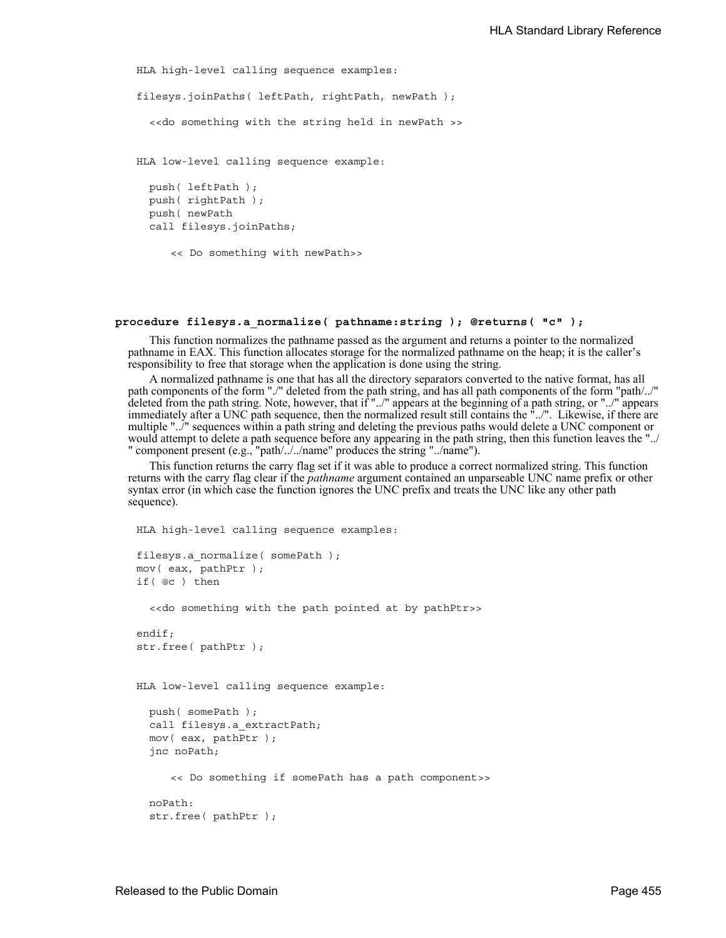```
HLA high-level calling sequence examples:
filesys.joinPaths( leftPath, rightPath, newPath );
  <<do something with the string held in newPath >>
HLA low-level calling sequence example:
 push( leftPath );
 push( rightPath );
 push( newPath
 call filesys.joinPaths;
     << Do something with newPath>>
```
### **procedure filesys.a\_normalize( pathname:string ); @returns( "c" );**

This function normalizes the pathname passed as the argument and returns a pointer to the normalized pathname in EAX. This function allocates storage for the normalized pathname on the heap; it is the caller's responsibility to free that storage when the application is done using the string.

A normalized pathname is one that has all the directory separators converted to the native format, has all path components of the form "./" deleted from the path string, and has all path components of the form "path/../" deleted from the path string. Note, however, that if "../" appears at the beginning of a path string, or "../" appears immediately after a UNC path sequence, then the normalized result still contains the "../". Likewise, if there are multiple "../" sequences within a path string and deleting the previous paths would delete a UNC component or would attempt to delete a path sequence before any appearing in the path string, then this function leaves the "../ " component present (e.g., "path/../../name" produces the string "../name").

This function returns the carry flag set if it was able to produce a correct normalized string. This function returns with the carry flag clear if the *pathname* argument contained an unparseable UNC name prefix or other syntax error (in which case the function ignores the UNC prefix and treats the UNC like any other path sequence).

```
HLA high-level calling sequence examples:
filesys.a_normalize( somePath );
mov( eax, pathPtr );
if( @c ) then
  <<do something with the path pointed at by pathPtr>>
endif;
str.free( pathPtr );
HLA low-level calling sequence example:
 push( somePath );
  call filesys.a_extractPath;
 mov( eax, pathPtr );
  jnc noPath;
     << Do something if somePath has a path component>>
 noPath:
  str.free( pathPtr );
```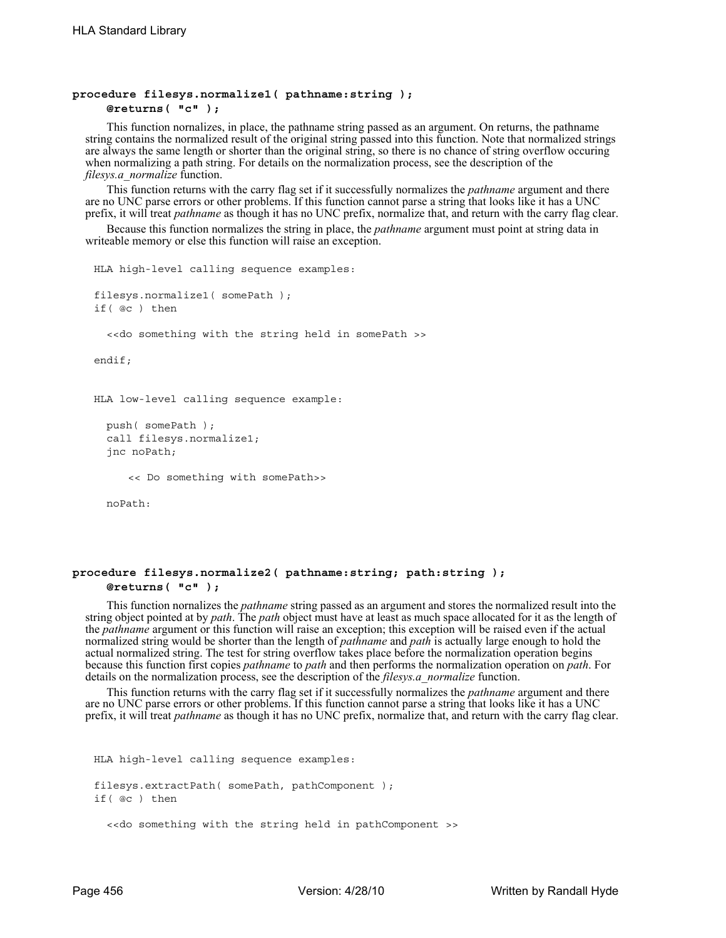### **procedure filesys.normalize1( pathname:string ); @returns( "c" );**

This function nornalizes, in place, the pathname string passed as an argument. On returns, the pathname string contains the normalized result of the original string passed into this function. Note that normalized strings are always the same length or shorter than the original string, so there is no chance of string overflow occuring when normalizing a path string. For details on the normalization process, see the description of the *filesys.a\_normalize* function.

This function returns with the carry flag set if it successfully normalizes the *pathname* argument and there are no UNC parse errors or other problems. If this function cannot parse a string that looks like it has a UNC prefix, it will treat *pathname* as though it has no UNC prefix, normalize that, and return with the carry flag clear.

Because this function normalizes the string in place, the *pathname* argument must point at string data in writeable memory or else this function will raise an exception.

```
HLA high-level calling sequence examples:
filesys.normalize1( somePath );
if( @c ) then
  <<do something with the string held in somePath >>
endif;
HLA low-level calling sequence example:
  push( somePath );
  call filesys.normalize1;
  jnc noPath;
     << Do something with somePath>>
  noPath:
```
## **procedure filesys.normalize2( pathname:string; path:string ); @returns( "c" );**

This function nornalizes the *pathname* string passed as an argument and stores the normalized result into the string object pointed at by *path*. The *path* object must have at least as much space allocated for it as the length of the *pathname* argument or this function will raise an exception; this exception will be raised even if the actual normalized string would be shorter than the length of *pathname* and *path* is actually large enough to hold the actual normalized string. The test for string overflow takes place before the normalization operation begins because this function first copies *pathname* to *path* and then performs the normalization operation on *path*. For details on the normalization process, see the description of the *filesys.a\_normalize* function.

This function returns with the carry flag set if it successfully normalizes the *pathname* argument and there are no UNC parse errors or other problems. If this function cannot parse a string that looks like it has a UNC prefix, it will treat *pathname* as though it has no UNC prefix, normalize that, and return with the carry flag clear.

```
HLA high-level calling sequence examples:
filesys.extractPath( somePath, pathComponent );
if( @c ) then
  <<do something with the string held in pathComponent >>
```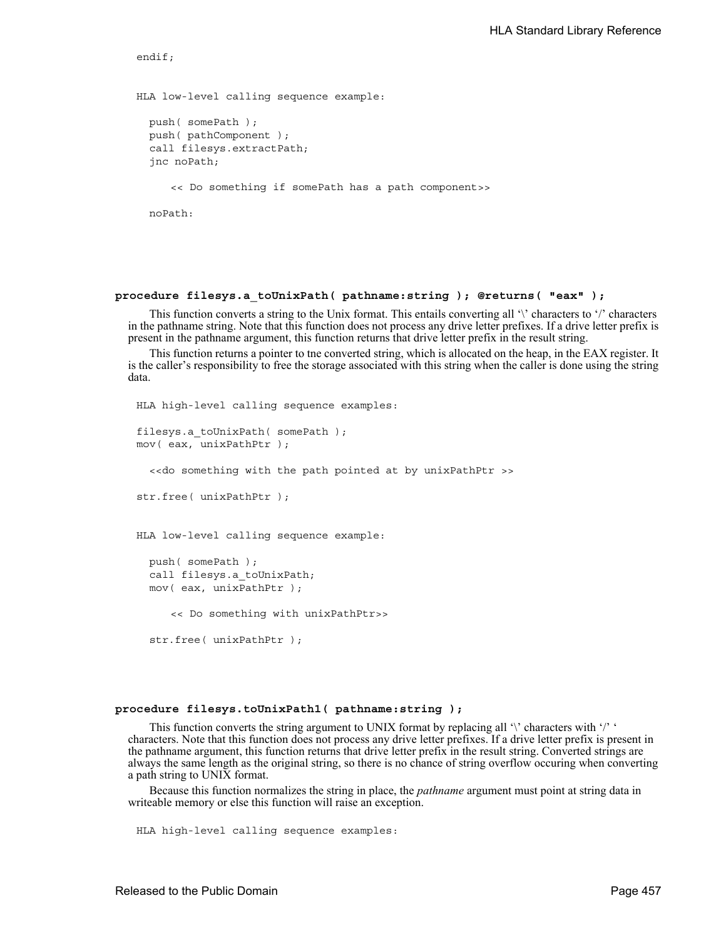```
HLA low-level calling sequence example:
 push( somePath );
 push( pathComponent );
 call filesys.extractPath;
  jnc noPath;
     << Do something if somePath has a path component>>
 noPath:
```
endif;

#### **procedure filesys.a\_toUnixPath( pathname:string ); @returns( "eax" );**

This function converts a string to the Unix format. This entails converting all '\' characters to '/' characters in the pathname string. Note that this function does not process any drive letter prefixes. If a drive letter prefix is present in the pathname argument, this function returns that drive letter prefix in the result string.

This function returns a pointer to tne converted string, which is allocated on the heap, in the EAX register. It is the caller's responsibility to free the storage associated with this string when the caller is done using the string data.

```
HLA high-level calling sequence examples:
filesys.a toUnixPath( somePath);
mov( eax, unixPathPtr );
  <<do something with the path pointed at by unixPathPtr >>
str.free( unixPathPtr );
HLA low-level calling sequence example:
 push( somePath );
  call filesys.a toUnixPath;
 mov( eax, unixPathPtr );
     << Do something with unixPathPtr>>
  str.free( unixPathPtr );
```
## **procedure filesys.toUnixPath1( pathname:string );**

This function converts the string argument to UNIX format by replacing all  $\prime\prime$  characters with  $\prime\prime\prime\prime$ characters. Note that this function does not process any drive letter prefixes. If a drive letter prefix is present in the pathname argument, this function returns that drive letter prefix in the result string. Converted strings are always the same length as the original string, so there is no chance of string overflow occuring when converting a path string to UNIX format.

Because this function normalizes the string in place, the *pathname* argument must point at string data in writeable memory or else this function will raise an exception.

HLA high-level calling sequence examples: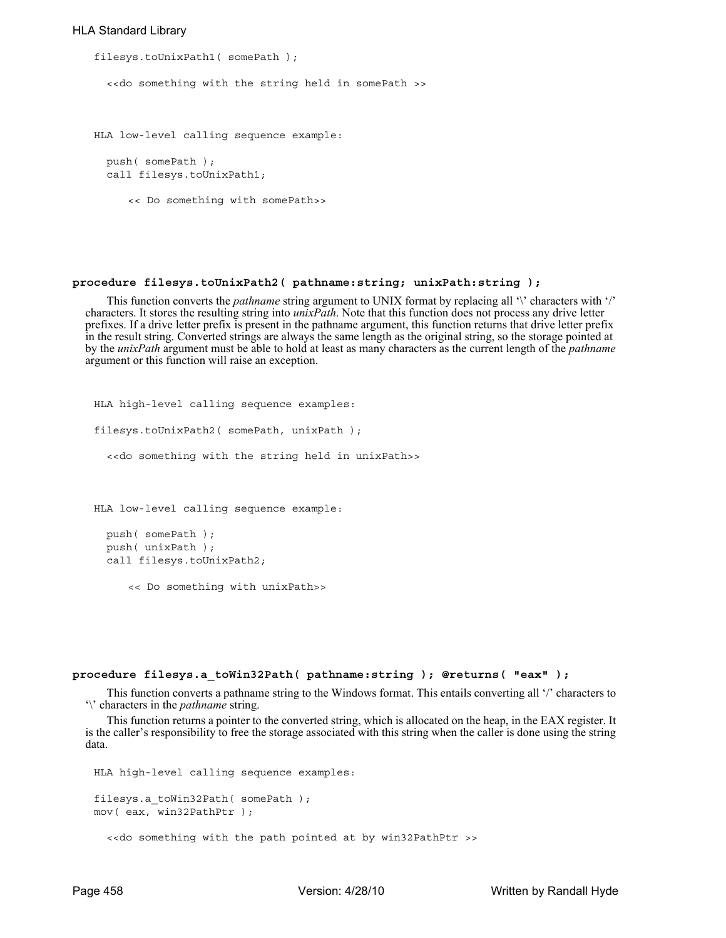#### HLA Standard Library

```
filesys.toUnixPath1( somePath );
  <<do something with the string held in somePath >>
HLA low-level calling sequence example:
  push( somePath );
  call filesys.toUnixPath1;
     << Do something with somePath>>
```
#### **procedure filesys.toUnixPath2( pathname:string; unixPath:string );**

This function converts the *pathname* string argument to UNIX format by replacing all '\' characters with '/' characters. It stores the resulting string into *unixPath*. Note that this function does not process any drive letter prefixes. If a drive letter prefix is present in the pathname argument, this function returns that drive letter prefix in the result string. Converted strings are always the same length as the original string, so the storage pointed at by the *unixPath* argument must be able to hold at least as many characters as the current length of the *pathname* argument or this function will raise an exception.

HLA high-level calling sequence examples: filesys.toUnixPath2( somePath, unixPath ); <<do something with the string held in unixPath>> HLA low-level calling sequence example: push( somePath ); push( unixPath );

call filesys.toUnixPath2;

<< Do something with unixPath>>

#### **procedure filesys.a\_toWin32Path( pathname:string ); @returns( "eax" );**

This function converts a pathname string to the Windows format. This entails converting all '/' characters to '\' characters in the *pathname* string.

This function returns a pointer to the converted string, which is allocated on the heap, in the EAX register. It is the caller's responsibility to free the storage associated with this string when the caller is done using the string data.

```
HLA high-level calling sequence examples:
filesys.a_toWin32Path( somePath );
mov( eax, win32PathPtr );
  <<do something with the path pointed at by win32PathPtr >>
```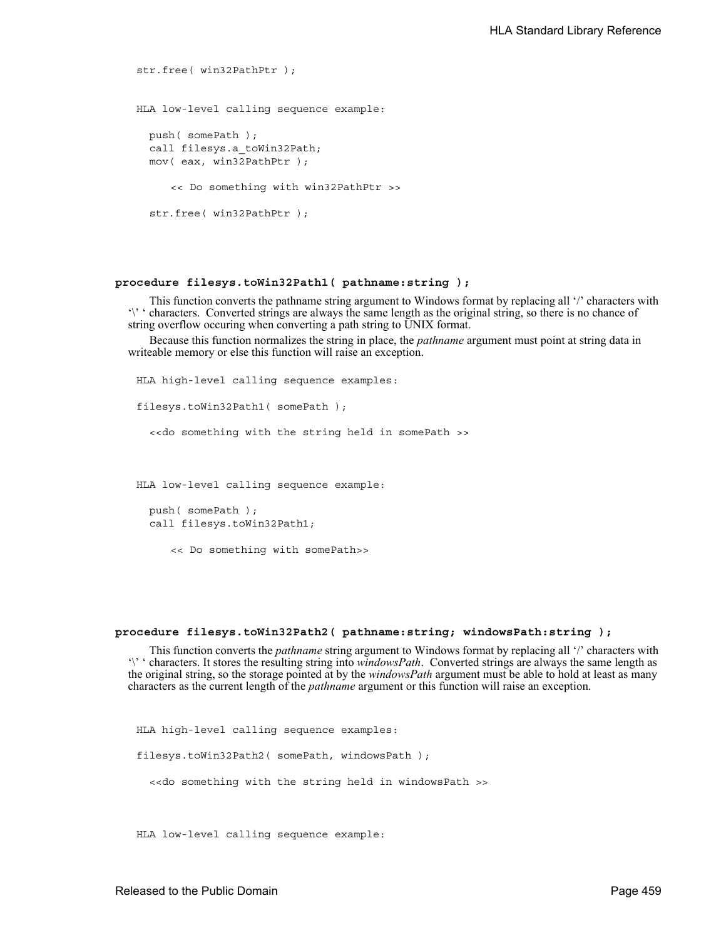```
str.free( win32PathPtr );
HLA low-level calling sequence example:
  push( somePath );
  call filesys.a_toWin32Path;
  mov( eax, win32PathPtr );
     << Do something with win32PathPtr >>
  str.free( win32PathPtr );
```
### **procedure filesys.toWin32Path1( pathname:string );**

This function converts the pathname string argument to Windows format by replacing all '/' characters with '\' ' characters. Converted strings are always the same length as the original string, so there is no chance of string overflow occuring when converting a path string to UNIX format.

Because this function normalizes the string in place, the *pathname* argument must point at string data in writeable memory or else this function will raise an exception.

HLA high-level calling sequence examples: filesys.toWin32Path1( somePath ); <<do something with the string held in somePath >> HLA low-level calling sequence example: push( somePath ); call filesys.toWin32Path1; << Do something with somePath>>

#### **procedure filesys.toWin32Path2( pathname:string; windowsPath:string );**

This function converts the *pathname* string argument to Windows format by replacing all '/' characters with '\' ' characters. It stores the resulting string into *windowsPath*. Converted strings are always the same length as the original string, so the storage pointed at by the *windowsPath* argument must be able to hold at least as many characters as the current length of the *pathname* argument or this function will raise an exception.

HLA high-level calling sequence examples: filesys.toWin32Path2( somePath, windowsPath ); <<do something with the string held in windowsPath >>

HLA low-level calling sequence example: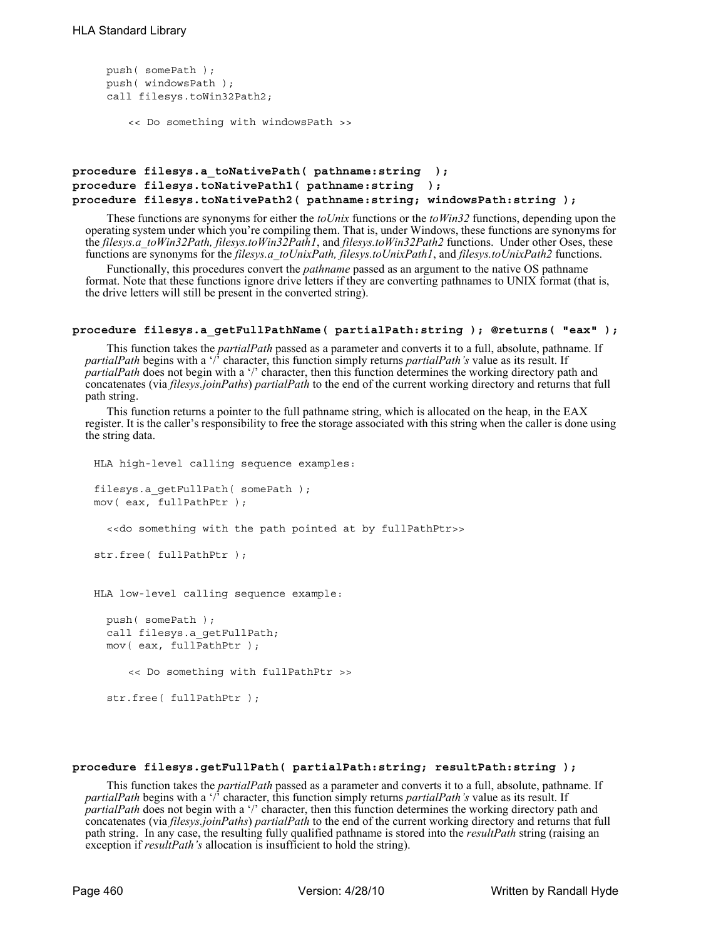```
push( somePath );
push( windowsPath );
call filesys.toWin32Path2;
   << Do something with windowsPath >>
```

```
procedure filesys.a_toNativePath( pathname:string );
procedure filesys.toNativePath1( pathname:string );
procedure filesys.toNativePath2( pathname:string; windowsPath:string );
```
These functions are synonyms for either the *toUnix* functions or the *toWin32* functions, depending upon the operating system under which you're compiling them. That is, under Windows, these functions are synonyms for the *filesys.a\_toWin32Path, filesys.toWin32Path1*, and *filesys.toWin32Path2* functions. Under other Oses, these functions are synonyms for the *filesys.a\_toUnixPath, filesys.toUnixPath1*, and *filesys.toUnixPath2* functions.

Functionally, this procedures convert the *pathname* passed as an argument to the native OS pathname format. Note that these functions ignore drive letters if they are converting pathnames to UNIX format (that is, the drive letters will still be present in the converted string).

#### **procedure filesys.a\_getFullPathName( partialPath:string ); @returns( "eax" );**

This function takes the *partialPath* passed as a parameter and converts it to a full, absolute, pathname. If *partialPath* begins with a '/' character, this function simply returns *partialPath's* value as its result. If *partialPath* does not begin with a '/' character, then this function determines the working directory path and concatenates (via *filesys.joinPaths*) *partialPath* to the end of the current working directory and returns that full path string.

This function returns a pointer to the full pathname string, which is allocated on the heap, in the EAX register. It is the caller's responsibility to free the storage associated with this string when the caller is done using the string data.

```
HLA high-level calling sequence examples:
filesys.a_getFullPath( somePath );
mov( eax, fullPathPtr );
  <<do something with the path pointed at by fullPathPtr>>
str.free( fullPathPtr );
HLA low-level calling sequence example:
  push( somePath );
  call filesys.a_getFullPath;
 mov( eax, fullPathPtr );
     << Do something with fullPathPtr >>
  str.free( fullPathPtr );
```
## **procedure filesys.getFullPath( partialPath:string; resultPath:string );**

This function takes the *partialPath* passed as a parameter and converts it to a full, absolute, pathname. If *partialPath* begins with a '/' character, this function simply returns *partialPath's* value as its result. If *partialPath* does not begin with a '/' character, then this function determines the working directory path and concatenates (via *filesys.joinPaths*) *partialPath* to the end of the current working directory and returns that full path string. In any case, the resulting fully qualified pathname is stored into the *resultPath* string (raising an exception if *resultPath's* allocation is insufficient to hold the string).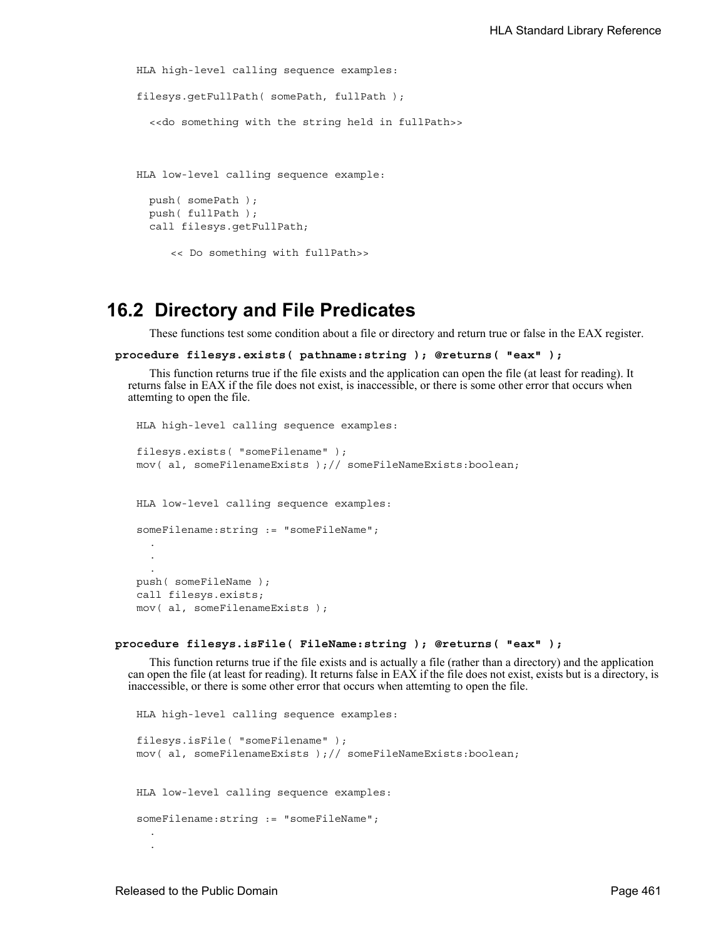```
HLA high-level calling sequence examples:
filesys.getFullPath( somePath, fullPath );
  <<do something with the string held in fullPath>>
HLA low-level calling sequence example:
```

```
push( somePath );
push( fullPath );
call filesys.getFullPath;
```
<< Do something with fullPath>>

## **16.2 Directory and File Predicates**

These functions test some condition about a file or directory and return true or false in the EAX register.

```
procedure filesys.exists( pathname:string ); @returns( "eax" );
```
This function returns true if the file exists and the application can open the file (at least for reading). It returns false in EAX if the file does not exist, is inaccessible, or there is some other error that occurs when attemting to open the file.

```
HLA high-level calling sequence examples:
filesys.exists( "someFilename" );
mov( al, someFilenameExists );// someFileNameExists:boolean;
HLA low-level calling sequence examples:
someFilename:string := "someFileName";
  .
  .
  .
push( someFileName );
call filesys.exists;
mov( al, someFilenameExists );
```

```
procedure filesys.isFile( FileName:string ); @returns( "eax" );
```
This function returns true if the file exists and is actually a file (rather than a directory) and the application can open the file (at least for reading). It returns false in EAX if the file does not exist, exists but is a directory, is inaccessible, or there is some other error that occurs when attemting to open the file.

```
HLA high-level calling sequence examples:
filesys.isFile( "someFilename" );
mov( al, someFilenameExists );// someFileNameExists:boolean;
HLA low-level calling sequence examples:
someFilename:string := "someFileName";
  .
  .
```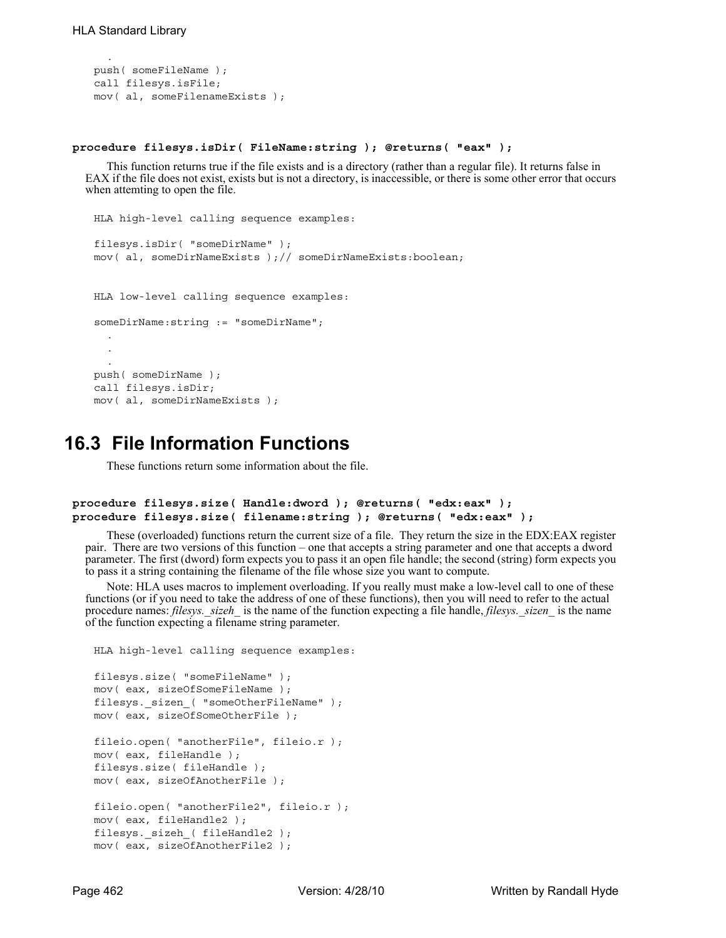.

```
push( someFileName );
call filesys.isFile;
mov( al, someFilenameExists );
```
#### **procedure filesys.isDir( FileName:string ); @returns( "eax" );**

This function returns true if the file exists and is a directory (rather than a regular file). It returns false in EAX if the file does not exist, exists but is not a directory, is inaccessible, or there is some other error that occurs when attemting to open the file.

```
HLA high-level calling sequence examples:
filesys.isDir( "someDirName" );
mov( al, someDirNameExists );// someDirNameExists:boolean;
HLA low-level calling sequence examples:
someDirName:string := "someDirName";
  .
  .
  .
push( someDirName );
call filesys.isDir;
mov( al, someDirNameExists );
```
## **16.3 File Information Functions**

These functions return some information about the file.

```
procedure filesys.size( Handle:dword ); @returns( "edx:eax" );
procedure filesys.size( filename:string ); @returns( "edx:eax" );
```
These (overloaded) functions return the current size of a file. They return the size in the EDX:EAX register pair. There are two versions of this function – one that accepts a string parameter and one that accepts a dword parameter. The first (dword) form expects you to pass it an open file handle; the second (string) form expects you to pass it a string containing the filename of the file whose size you want to compute.

Note: HLA uses macros to implement overloading. If you really must make a low-level call to one of these functions (or if you need to take the address of one of these functions), then you will need to refer to the actual procedure names: *filesys.\_sizeh\_* is the name of the function expecting a file handle, *filesys.\_sizen\_* is the name of the function expecting a filename string parameter.

```
HLA high-level calling sequence examples:
```

```
filesys.size( "someFileName" );
mov( eax, sizeOfSomeFileName );
filesys._sizen_( "someOtherFileName" );
mov( eax, sizeOfSomeOtherFile );
fileio.open( "anotherFile", fileio.r );
mov( eax, fileHandle );
filesys.size( fileHandle );
mov( eax, sizeOfAnotherFile );
fileio.open( "anotherFile2", fileio.r );
mov( eax, fileHandle2 );
filesys._sizeh_( fileHandle2 );
mov( eax, sizeOfAnotherFile2 );
```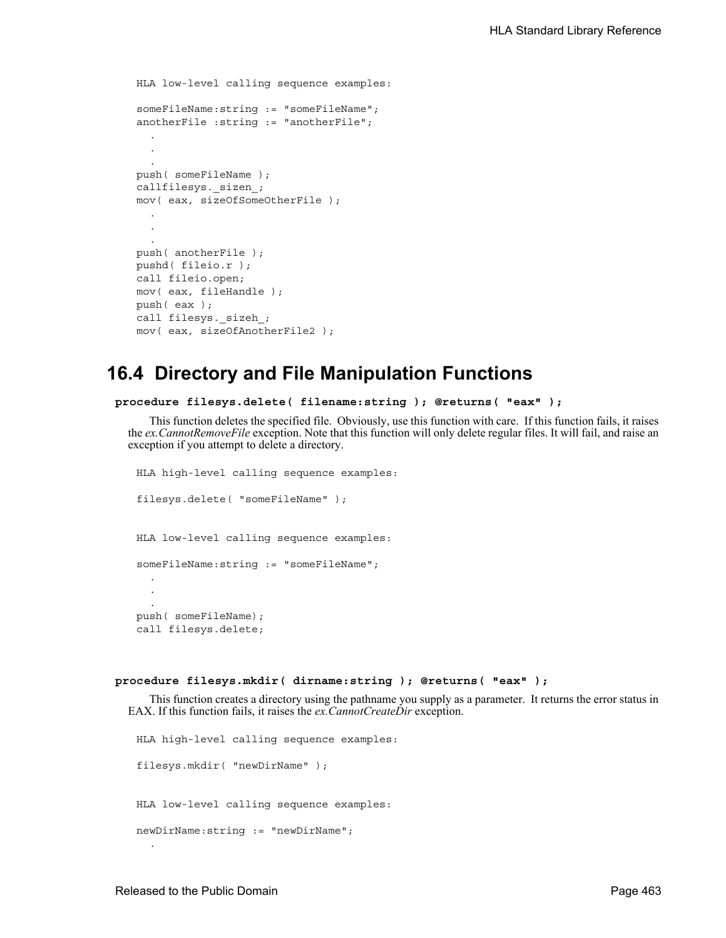```
HLA low-level calling sequence examples:
someFileName:string := "someFileName";
anotherFile :string := "anotherFile";
  .
  .
  .
push( someFileName );
callfilesys._sizen_;
mov( eax, sizeOfSomeOtherFile );
  .
  .
  .
push( anotherFile );
pushd( fileio.r );
call fileio.open;
mov( eax, fileHandle );
push( eax );
call filesys._sizeh_;
mov( eax, sizeOfAnotherFile2 );
```
# **16.4 Directory and File Manipulation Functions**

```
procedure filesys.delete( filename:string ); @returns( "eax" );
```
This function deletes the specified file. Obviously, use this function with care. If this function fails, it raises the *ex.CannotRemoveFile* exception. Note that this function will only delete regular files. It will fail, and raise an exception if you attempt to delete a directory.

```
HLA high-level calling sequence examples:
filesys.delete( "someFileName" );
HLA low-level calling sequence examples:
someFileName:string := "someFileName";
  .
  .
  .
push( someFileName);
call filesys.delete;
```
#### **procedure filesys.mkdir( dirname:string ); @returns( "eax" );**

This function creates a directory using the pathname you supply as a parameter. It returns the error status in EAX. If this function fails, it raises the *ex.CannotCreateDir* exception.

```
HLA high-level calling sequence examples:
filesys.mkdir( "newDirName" );
HLA low-level calling sequence examples:
newDirName:string := "newDirName";
```
.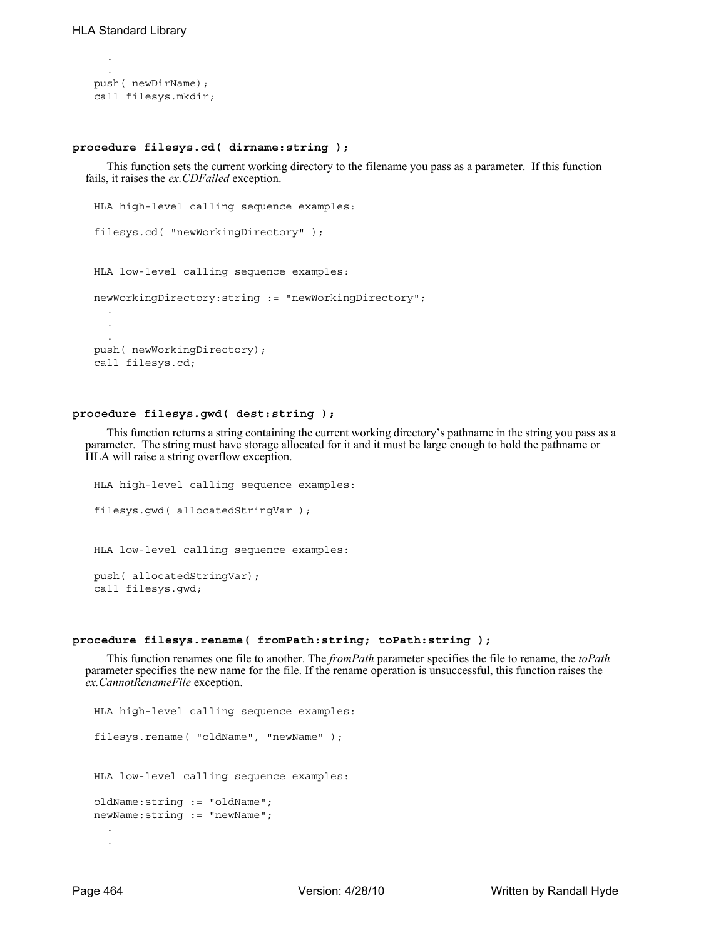.

```
.
push( newDirName);
call filesys.mkdir;
```
## **procedure filesys.cd( dirname:string );**

This function sets the current working directory to the filename you pass as a parameter. If this function fails, it raises the *ex.CDFailed* exception.

```
HLA high-level calling sequence examples:
filesys.cd( "newWorkingDirectory" );
HLA low-level calling sequence examples:
newWorkingDirectory:string := "newWorkingDirectory";
  .
  .
  .
push( newWorkingDirectory);
call filesys.cd;
```
#### **procedure filesys.gwd( dest:string );**

This function returns a string containing the current working directory's pathname in the string you pass as a parameter. The string must have storage allocated for it and it must be large enough to hold the pathname or HLA will raise a string overflow exception.

```
HLA high-level calling sequence examples:
filesys.gwd( allocatedStringVar );
HLA low-level calling sequence examples:
push( allocatedStringVar);
call filesys.gwd;
```
#### **procedure filesys.rename( fromPath:string; toPath:string );**

This function renames one file to another. The *fromPath* parameter specifies the file to rename, the *toPath* parameter specifies the new name for the file. If the rename operation is unsuccessful, this function raises the *ex.CannotRenameFile* exception.

```
HLA high-level calling sequence examples:
filesys.rename( "oldName", "newName" );
HLA low-level calling sequence examples:
oldName:string := "oldName";
newName:string := "newName";
  .
  .
```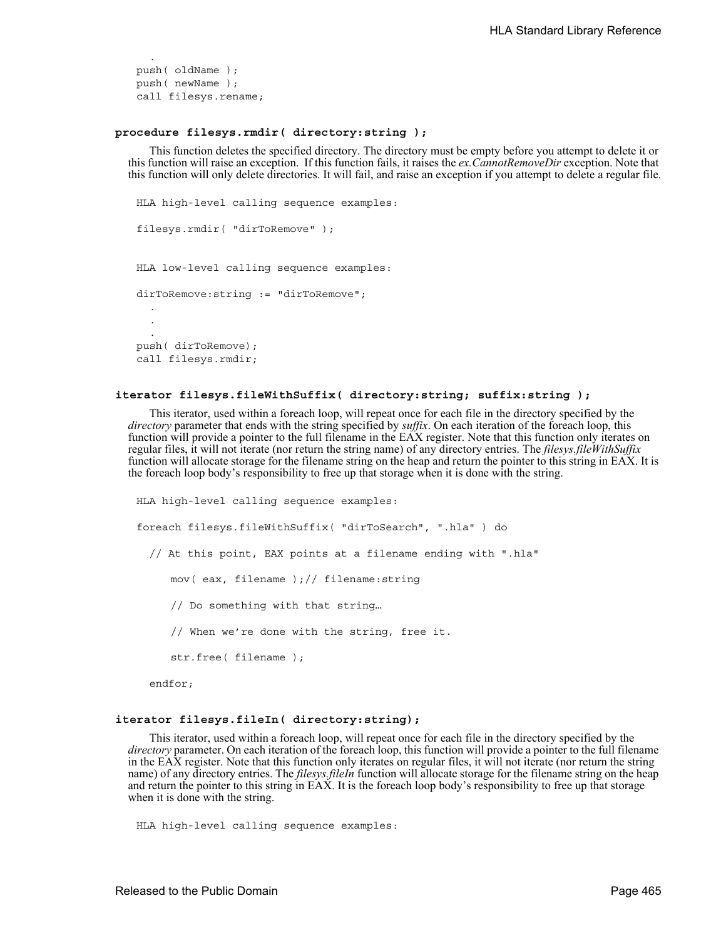push( oldName ); push( newName ); call filesys.rename;

.

## **procedure filesys.rmdir( directory:string );**

This function deletes the specified directory. The directory must be empty before you attempt to delete it or this function will raise an exception. If this function fails, it raises the *ex.CannotRemoveDir* exception. Note that this function will only delete directories. It will fail, and raise an exception if you attempt to delete a regular file.

```
HLA high-level calling sequence examples:
filesys.rmdir( "dirToRemove" );
HLA low-level calling sequence examples:
dirToRemove:string := "dirToRemove";
  .
  .
  .
push( dirToRemove);
call filesys.rmdir;
```
#### **iterator filesys.fileWithSuffix( directory:string; suffix:string );**

This iterator, used within a foreach loop, will repeat once for each file in the directory specified by the *directory* parameter that ends with the string specified by *suffix*. On each iteration of the foreach loop, this function will provide a pointer to the full filename in the EAX register. Note that this function only iterates on regular files, it will not iterate (nor return the string name) of any directory entries. The *filesys.fileWithSuffix* function will allocate storage for the filename string on the heap and return the pointer to this string in EAX. It is the foreach loop body's responsibility to free up that storage when it is done with the string.

```
HLA high-level calling sequence examples:
foreach filesys.fileWithSuffix( "dirToSearch", ".hla" ) do
  // At this point, EAX points at a filename ending with ".hla"
     mov( eax, filename );// filename:string
     // Do something with that string…
     // When we're done with the string, free it.
     str.free( filename );
  endfor;
```
#### **iterator filesys.fileIn( directory:string);**

This iterator, used within a foreach loop, will repeat once for each file in the directory specified by the *directory* parameter. On each iteration of the foreach loop, this function will provide a pointer to the full filename in the EAX register. Note that this function only iterates on regular files, it will not iterate (nor return the string name) of any directory entries. The *filesys.fileIn* function will allocate storage for the filename string on the heap and return the pointer to this string in EAX. It is the foreach loop body's responsibility to free up that storage when it is done with the string.

```
HLA high-level calling sequence examples:
```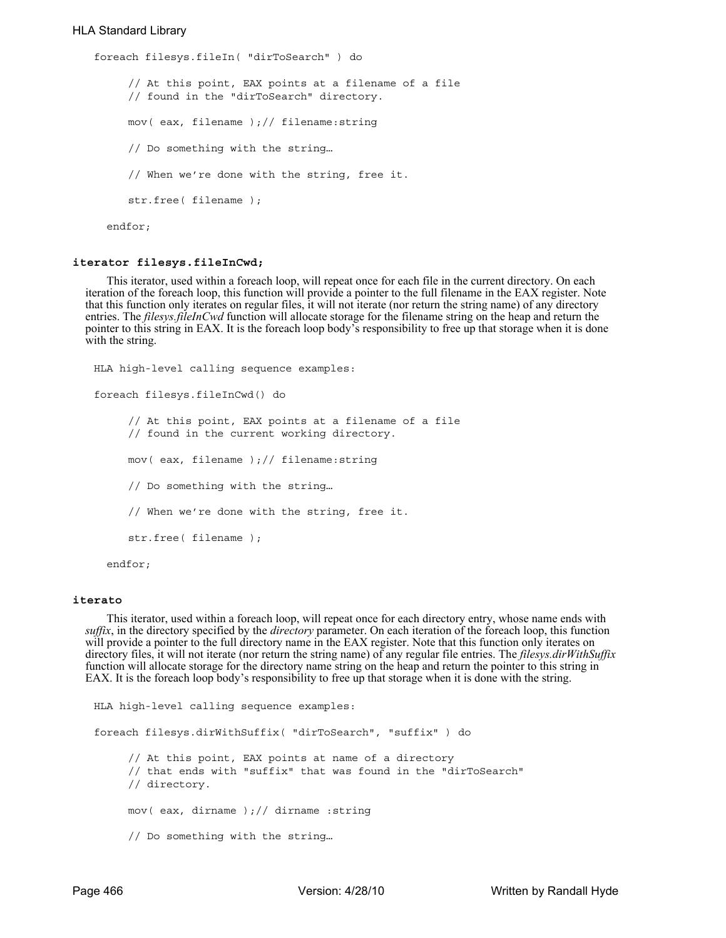## HLA Standard Library

```
foreach filesys.fileIn( "dirToSearch" ) do
     // At this point, EAX points at a filename of a file
     // found in the "dirToSearch" directory.
     mov( eax, filename );// filename:string
     // Do something with the string…
     // When we're done with the string, free it.
     str.free( filename );
  endfor;
```
#### **iterator filesys.fileInCwd;**

This iterator, used within a foreach loop, will repeat once for each file in the current directory. On each iteration of the foreach loop, this function will provide a pointer to the full filename in the EAX register. Note that this function only iterates on regular files, it will not iterate (nor return the string name) of any directory entries. The *filesys.fileInCwd* function will allocate storage for the filename string on the heap and return the pointer to this string in EAX. It is the foreach loop body's responsibility to free up that storage when it is done with the string.

```
HLA high-level calling sequence examples:
foreach filesys.fileInCwd() do
     // At this point, EAX points at a filename of a file
     // found in the current working directory.
     mov( eax, filename );// filename:string
     // Do something with the string…
     // When we're done with the string, free it.
     str.free( filename );
  endfor;
```
#### **iterato**

This iterator, used within a foreach loop, will repeat once for each directory entry, whose name ends with *suffix*, in the directory specified by the *directory* parameter. On each iteration of the foreach loop, this function will provide a pointer to the full directory name in the EAX register. Note that this function only iterates on directory files, it will not iterate (nor return the string name) of any regular file entries. The *filesys.dirWithSuffix* function will allocate storage for the directory name string on the heap and return the pointer to this string in EAX. It is the foreach loop body's responsibility to free up that storage when it is done with the string.

```
HLA high-level calling sequence examples:
foreach filesys.dirWithSuffix( "dirToSearch", "suffix" ) do
     // At this point, EAX points at name of a directory
     // that ends with "suffix" that was found in the "dirToSearch"
     // directory.
     mov( eax, dirname );// dirname :string
     // Do something with the string…
```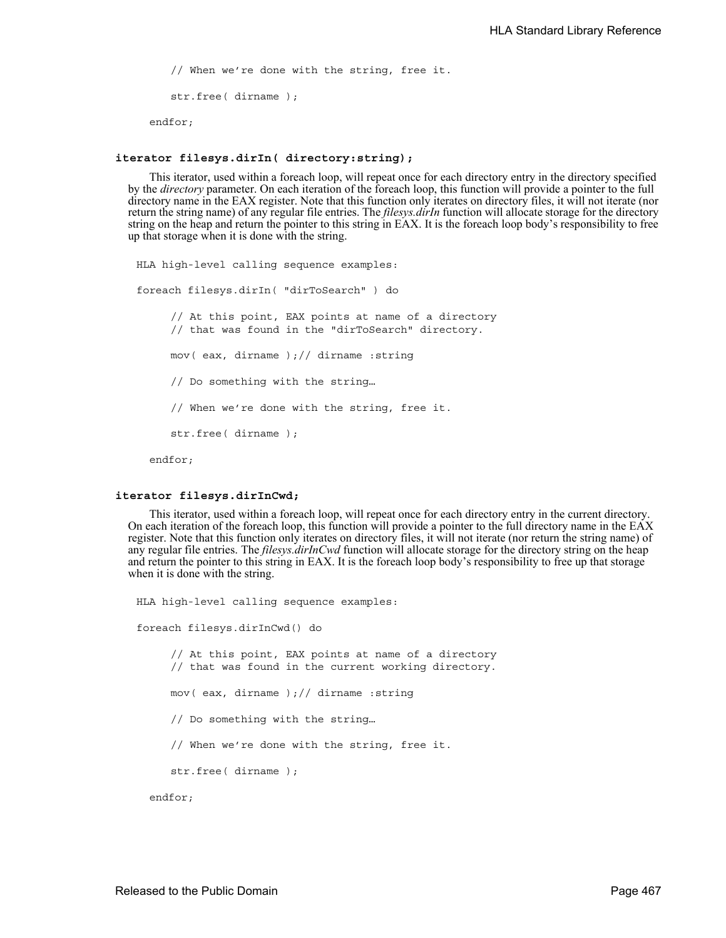// When we're done with the string, free it. str.free( dirname ); endfor;

#### **iterator filesys.dirIn( directory:string);**

This iterator, used within a foreach loop, will repeat once for each directory entry in the directory specified by the *directory* parameter. On each iteration of the foreach loop, this function will provide a pointer to the full directory name in the EAX register. Note that this function only iterates on directory files, it will not iterate (nor return the string name) of any regular file entries. The *filesys.dirIn* function will allocate storage for the directory string on the heap and return the pointer to this string in EAX. It is the foreach loop body's responsibility to free up that storage when it is done with the string.

```
HLA high-level calling sequence examples:
foreach filesys.dirIn( "dirToSearch" ) do
     // At this point, EAX points at name of a directory
     // that was found in the "dirToSearch" directory.
     mov( eax, dirname );// dirname :string
     // Do something with the string…
     // When we're done with the string, free it.
     str.free( dirname );
  endfor;
```
#### **iterator filesys.dirInCwd;**

This iterator, used within a foreach loop, will repeat once for each directory entry in the current directory. On each iteration of the foreach loop, this function will provide a pointer to the full directory name in the EAX register. Note that this function only iterates on directory files, it will not iterate (nor return the string name) of any regular file entries. The *filesys.dirInCwd* function will allocate storage for the directory string on the heap and return the pointer to this string in EAX. It is the foreach loop body's responsibility to free up that storage when it is done with the string.

HLA high-level calling sequence examples: foreach filesys.dirInCwd() do // At this point, EAX points at name of a directory // that was found in the current working directory. mov( eax, dirname );// dirname :string // Do something with the string… // When we're done with the string, free it. str.free( dirname ); endfor;